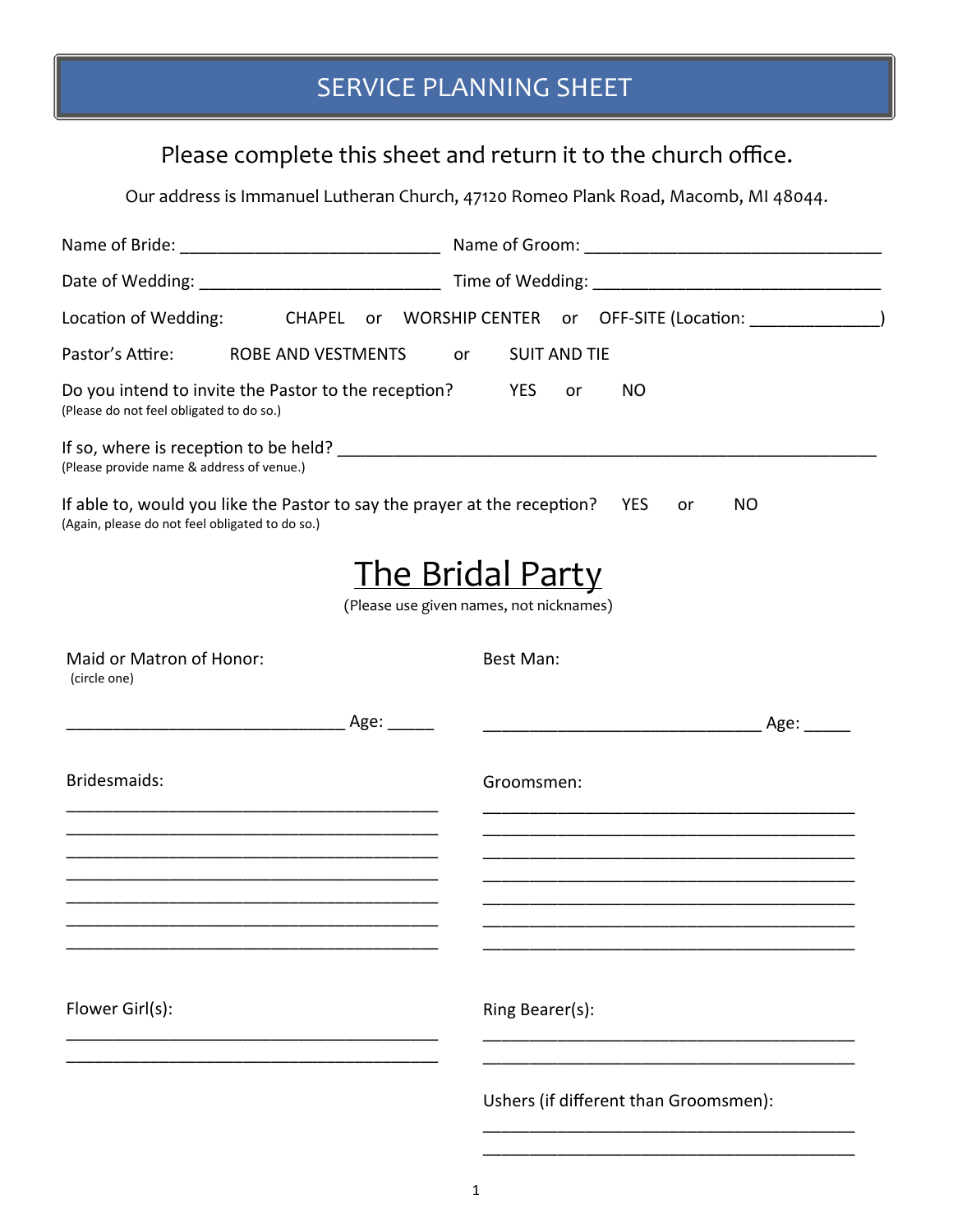#### Please complete this sheet and return it to the church office.

Our address is Immanuel Lutheran Church, 47120 Romeo Plank Road, Macomb, MI 48044.

| Location of Wedding:<br>CHAPEL                                                                                                   | or WORSHIP CENTER or OFF-SITE (Location: _______________)          |
|----------------------------------------------------------------------------------------------------------------------------------|--------------------------------------------------------------------|
| Pastor's Attire: ROBE AND VESTMENTS                                                                                              | <b>SUIT AND TIE</b><br>or                                          |
| Do you intend to invite the Pastor to the reception?<br>(Please do not feel obligated to do so.)                                 | YES<br>NO<br>or                                                    |
| (Please provide name & address of venue.)                                                                                        |                                                                    |
| If able to, would you like the Pastor to say the prayer at the reception? YES<br>(Again, please do not feel obligated to do so.) | <b>NO</b><br>or                                                    |
|                                                                                                                                  | <b>The Bridal Party</b><br>(Please use given names, not nicknames) |
| Maid or Matron of Honor:<br>(circle one)                                                                                         | Best Man:                                                          |
|                                                                                                                                  |                                                                    |
| Bridesmaids:                                                                                                                     | Groomsmen:                                                         |
|                                                                                                                                  |                                                                    |
|                                                                                                                                  |                                                                    |
|                                                                                                                                  |                                                                    |
| Flower Girl(s):                                                                                                                  | Ring Bearer(s):                                                    |
|                                                                                                                                  | Ushers (if different than Groomsmen):                              |

\_\_\_\_\_\_\_\_\_\_\_\_\_\_\_\_\_\_\_\_\_\_\_\_\_\_\_\_\_\_\_\_\_\_\_\_\_\_\_\_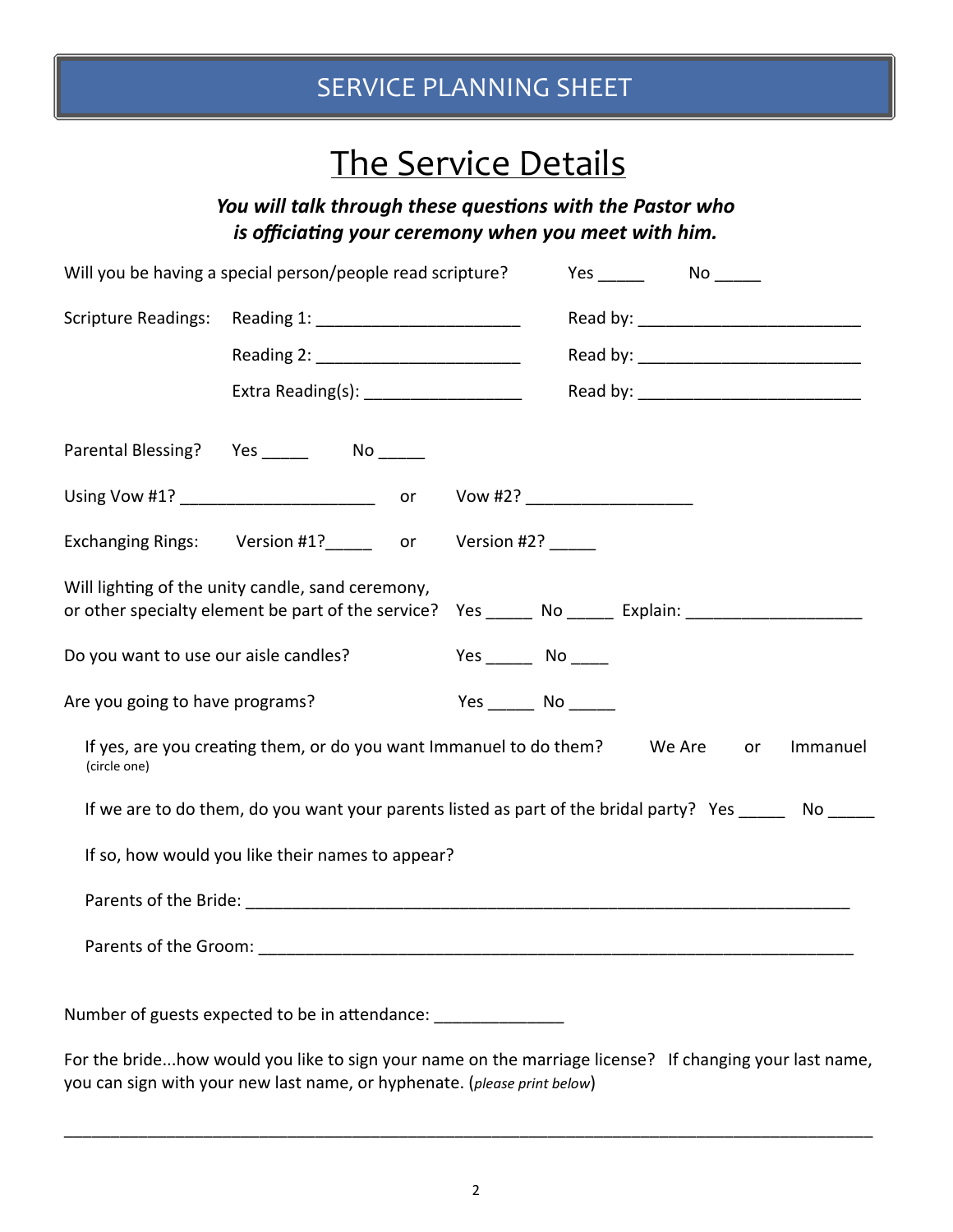## The Service Details

*You will talk through these questions with the Pastor who is officiaƟng your ceremony when you meet with him.* 

| Will you be having a special person/people read scripture? |                                                                                                         |                               |                               |    |          |
|------------------------------------------------------------|---------------------------------------------------------------------------------------------------------|-------------------------------|-------------------------------|----|----------|
| <b>Scripture Readings:</b>                                 |                                                                                                         |                               |                               |    |          |
|                                                            |                                                                                                         |                               |                               |    |          |
|                                                            |                                                                                                         |                               |                               |    |          |
| Parental Blessing?                                         |                                                                                                         |                               |                               |    |          |
|                                                            |                                                                                                         |                               | Vow #2? _____________________ |    |          |
|                                                            | Exchanging Rings: Version #1? or                                                                        | Version #2? $\frac{1}{2}$     |                               |    |          |
|                                                            | Will lighting of the unity candle, sand ceremony,<br>or other specialty element be part of the service? |                               |                               |    |          |
| Do you want to use our aisle candles?                      |                                                                                                         | Yes ______________ No _______ |                               |    |          |
| Are you going to have programs?                            |                                                                                                         | Yes No                        |                               |    |          |
| (circle one)                                               | If yes, are you creating them, or do you want Immanuel to do them? We Are                               |                               |                               | or | Immanuel |
|                                                            | If we are to do them, do you want your parents listed as part of the bridal party? Yes No               |                               |                               |    |          |
|                                                            | If so, how would you like their names to appear?                                                        |                               |                               |    |          |
|                                                            |                                                                                                         |                               |                               |    |          |
|                                                            |                                                                                                         |                               |                               |    |          |
|                                                            | Number of guests expected to be in attendance: ________________                                         |                               |                               |    |          |
|                                                            | For the bridehow would you like to sign your name on the marriage license? If changing your last name,  |                               |                               |    |          |

you can sign with your new last name, or hyphenate. (*please print below*)

\_\_\_\_\_\_\_\_\_\_\_\_\_\_\_\_\_\_\_\_\_\_\_\_\_\_\_\_\_\_\_\_\_\_\_\_\_\_\_\_\_\_\_\_\_\_\_\_\_\_\_\_\_\_\_\_\_\_\_\_\_\_\_\_\_\_\_\_\_\_\_\_\_\_\_\_\_\_\_\_\_\_\_\_\_\_\_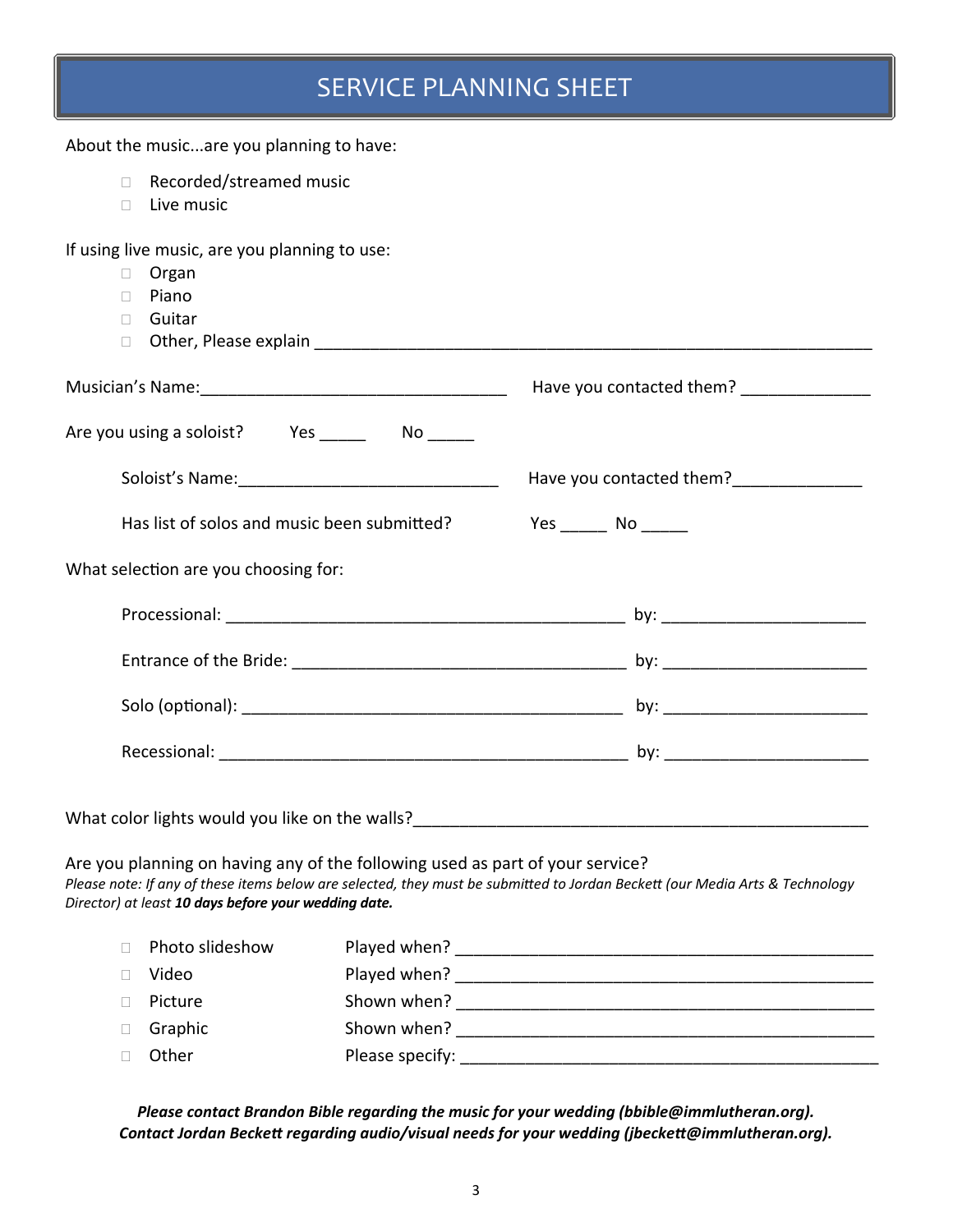About the music...are you planning to have:

- □ Recorded/streamed music
- $\Box$  Live music

If using live music, are you planning to use:

 Organ  $\Box$  Piano □ Guitar  $\Box$  Other, Please explain  $\Box$ Musician's Name: The Contracted them? Are you using a soloist? Yes \_\_\_\_\_\_ No \_\_\_\_\_ Soloist's Name: The Coloist's Name: The Coloist's Name: Has list of solos and music been submiƩed? Yes \_\_\_\_\_ No \_\_\_\_\_ What selection are you choosing for: Processional: \_\_\_\_\_\_\_\_\_\_\_\_\_\_\_\_\_\_\_\_\_\_\_\_\_\_\_\_\_\_\_\_\_\_\_\_\_\_\_\_\_\_\_ by: \_\_\_\_\_\_\_\_\_\_\_\_\_\_\_\_\_\_\_\_\_\_ Entrance of the Bride: etc. The state of the Bride: the state of the Bride: the state of the Bride: the state of the Structure of the Bride: the state of the Structure of the Bride: the state of the Structure of the Struct Solo (opƟonal): \_\_\_\_\_\_\_\_\_\_\_\_\_\_\_\_\_\_\_\_\_\_\_\_\_\_\_\_\_\_\_\_\_\_\_\_\_\_\_\_\_ by: \_\_\_\_\_\_\_\_\_\_\_\_\_\_\_\_\_\_\_\_\_\_ Recessional: \_\_\_\_\_\_\_\_\_\_\_\_\_\_\_\_\_\_\_\_\_\_\_\_\_\_\_\_\_\_\_\_\_\_\_\_\_\_\_\_\_\_\_\_ by: \_\_\_\_\_\_\_\_\_\_\_\_\_\_\_\_\_\_\_\_\_\_

What color lights would you like on the walls?\_\_\_\_\_\_\_\_\_\_\_\_\_\_\_\_\_\_\_\_\_\_\_\_\_\_\_\_\_\_\_\_\_\_\_\_\_\_\_\_\_\_\_\_\_\_\_\_\_

Are you planning on having any of the following used as part of your service? *Please note: If any of these items below are selected, they must be submiƩed to Jordan BeckeƩ (our Media Arts & Technology Director) at least 10 days before your wedding date.*

| $\Box$ | Photo slideshow | Played when?    |
|--------|-----------------|-----------------|
|        | Video           | Played when?    |
|        | Picture         | Shown when?     |
| $\Box$ | Graphic         | Shown when?     |
|        | Other           | Please specify: |

*Please contact Brandon Bible regarding the music for your wedding (bbible@immlutheran.org). Contact Jordan BeckeƩ regarding audio/visual needs for your wedding (jbeckeƩ@immlutheran.org).*